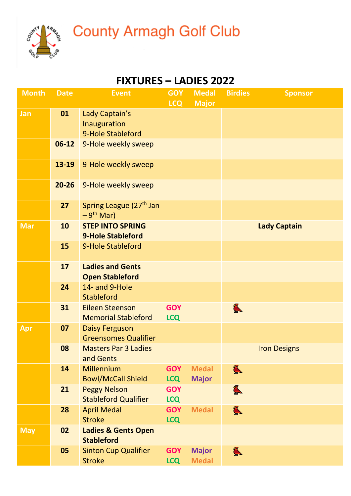

## **County Armagh Golf Club**

## **FIXTURES – LADIES 2022**

| <b>Month</b> | <b>Date</b> | <b>Event</b>                                         | <b>GOY</b><br><b>LCQ</b> | <b>Medal</b><br><b>Major</b> | <b>Birdies</b>        | <b>Sponsor</b>      |
|--------------|-------------|------------------------------------------------------|--------------------------|------------------------------|-----------------------|---------------------|
| Jan          | 01          | Lady Captain's<br>Inauguration<br>9-Hole Stableford  |                          |                              |                       |                     |
|              | $06-12$     | 9-Hole weekly sweep                                  |                          |                              |                       |                     |
|              | 13-19       | 9-Hole weekly sweep                                  |                          |                              |                       |                     |
|              | $20 - 26$   | 9-Hole weekly sweep                                  |                          |                              |                       |                     |
|              | 27          | Spring League (27 <sup>th</sup> Jan<br>$-9th$ Mar)   |                          |                              |                       |                     |
| <b>Mar</b>   | 10          | <b>STEP INTO SPRING</b><br><b>9-Hole Stableford</b>  |                          |                              |                       | <b>Lady Captain</b> |
|              | 15          | 9-Hole Stableford                                    |                          |                              |                       |                     |
|              | 17          | <b>Ladies and Gents</b><br><b>Open Stableford</b>    |                          |                              |                       |                     |
|              | 24          | 14- and 9-Hole<br><b>Stableford</b>                  |                          |                              |                       |                     |
|              | 31          | <b>Eileen Steenson</b><br><b>Memorial Stableford</b> | <b>GOY</b><br><b>LCQ</b> |                              | L                     |                     |
| Apr          | 07          | <b>Daisy Ferguson</b><br><b>Greensomes Qualifier</b> |                          |                              |                       |                     |
|              | 08          | <b>Masters Par 3 Ladies</b><br>and Gents             |                          |                              |                       | <b>Iron Designs</b> |
|              | 14          | Millennium<br><b>Bowl/McCall Shield</b>              | <b>GOY</b><br><b>LCQ</b> | <b>Medal</b><br><b>Major</b> | $\sum_{n=1}^{\infty}$ |                     |
|              | 21          | <b>Peggy Nelson</b><br><b>Stableford Qualifier</b>   | <b>GOY</b><br><b>LCQ</b> |                              | $\sum_{n=1}^{\infty}$ |                     |
|              | 28          | <b>April Medal</b><br><b>Stroke</b>                  | <b>GOY</b><br><b>LCQ</b> | <b>Medal</b>                 | L                     |                     |
| <b>May</b>   | 02          | <b>Ladies &amp; Gents Open</b><br><b>Stableford</b>  |                          |                              |                       |                     |
|              | 05          | <b>Sinton Cup Qualifier</b><br><b>Stroke</b>         | <b>GOY</b><br><b>LCQ</b> | <b>Major</b><br><b>Medal</b> | L                     |                     |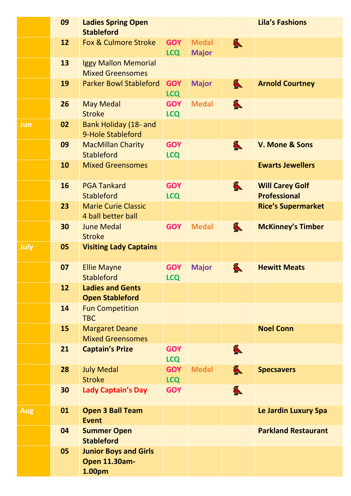|            | 09 | <b>Ladies Spring Open</b><br><b>Stableford</b>                 |                          |                              |                       | <b>Lila's Fashions</b>                        |
|------------|----|----------------------------------------------------------------|--------------------------|------------------------------|-----------------------|-----------------------------------------------|
|            | 12 | <b>Fox &amp; Culmore Stroke</b>                                | <b>GOY</b><br><b>LCQ</b> | <b>Medal</b><br><b>Major</b> | $\sum_{n=1}^{\infty}$ |                                               |
|            | 13 | <b>Iggy Mallon Memorial</b><br><b>Mixed Greensomes</b>         |                          |                              |                       |                                               |
|            | 19 | <b>Parker Bowl Stableford</b>                                  | <b>GOY</b><br><b>LCQ</b> | <b>Major</b>                 | L                     | <b>Arnold Courtney</b>                        |
|            | 26 | <b>May Medal</b><br><b>Stroke</b>                              | <b>GOY</b><br><b>LCQ</b> | <b>Medal</b>                 | $\sum_{n=1}^{\infty}$ |                                               |
| Jun        | 02 | <b>Bank Holiday (18- and</b><br>9-Hole Stableford              |                          |                              |                       |                                               |
|            | 09 | <b>MacMillan Charity</b><br><b>Stableford</b>                  | <b>GOY</b><br><b>LCQ</b> |                              | L                     | V. Mone & Sons                                |
|            | 10 | <b>Mixed Greensomes</b>                                        |                          |                              |                       | <b>Ewarts Jewellers</b>                       |
|            | 16 | <b>PGA Tankard</b><br><b>Stableford</b>                        | <b>GOY</b><br><b>LCQ</b> |                              | L                     | <b>Will Carey Golf</b><br><b>Professional</b> |
|            | 23 | <b>Marie Curie Classic</b><br>4 ball better ball               |                          |                              |                       | <b>Rice's Supermarket</b>                     |
|            | 30 | <b>June Medal</b><br><b>Stroke</b>                             | <b>GOY</b>               | <b>Medal</b>                 | L                     | <b>McKinney's Timber</b>                      |
| July       | 05 | <b>Visiting Lady Captains</b>                                  |                          |                              |                       |                                               |
|            | 07 | <b>Ellie Mayne</b><br><b>Stableford</b>                        | <b>GOY</b><br><b>LCQ</b> | <b>Major</b>                 | L                     | <b>Hewitt Meats</b>                           |
|            | 12 | <b>Ladies and Gents</b><br><b>Open Stableford</b>              |                          |                              |                       |                                               |
|            | 14 | <b>Fun Competition</b><br><b>TBC</b>                           |                          |                              |                       |                                               |
|            | 15 | <b>Margaret Deane</b><br><b>Mixed Greensomes</b>               |                          |                              |                       | <b>Noel Conn</b>                              |
|            | 21 | <b>Captain's Prize</b>                                         | <b>GOY</b><br><b>LCQ</b> |                              | $\sum_{n=1}^{\infty}$ |                                               |
|            | 28 | <b>July Medal</b><br><b>Stroke</b>                             | <b>GOY</b><br><b>LCQ</b> | <b>Medal</b>                 | L                     | <b>Specsavers</b>                             |
|            | 30 | <b>Lady Captain's Day</b>                                      | <b>GOY</b>               |                              | L                     |                                               |
| <b>Aug</b> | 01 | <b>Open 3 Ball Team</b><br><b>Event</b>                        |                          |                              |                       | Le Jardin Luxury Spa                          |
|            | 04 | <b>Summer Open</b><br><b>Stableford</b>                        |                          |                              |                       | <b>Parkland Restaurant</b>                    |
|            | 05 | <b>Junior Boys and Girls</b><br><b>Open 11.30am-</b><br>1.00pm |                          |                              |                       |                                               |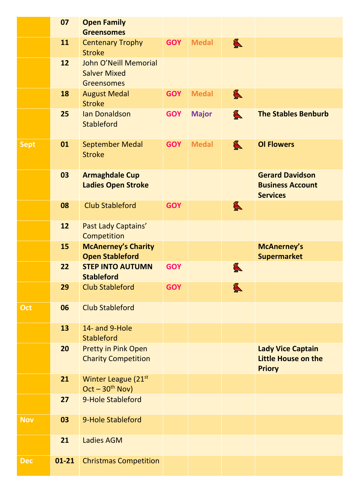|             | 07        | <b>Open Family</b><br><b>Greensomes</b>                                  |            |              |                       |                                                                      |
|-------------|-----------|--------------------------------------------------------------------------|------------|--------------|-----------------------|----------------------------------------------------------------------|
|             | 11        | <b>Centenary Trophy</b><br><b>Stroke</b>                                 | <b>GOY</b> | <b>Medal</b> | $\sum_{n=1}^{\infty}$ |                                                                      |
|             | 12        | <b>John O'Neill Memorial</b><br><b>Salver Mixed</b><br><b>Greensomes</b> |            |              |                       |                                                                      |
|             | 18        | <b>August Medal</b><br><b>Stroke</b>                                     | <b>GOY</b> | <b>Medal</b> | L                     |                                                                      |
|             | 25        | <b>Ian Donaldson</b><br><b>Stableford</b>                                | <b>GOY</b> | <b>Major</b> | L                     | <b>The Stables Benburb</b>                                           |
| <b>Sept</b> | 01        | <b>September Medal</b><br><b>Stroke</b>                                  | <b>GOY</b> | <b>Medal</b> | $\sum_{n=1}^{\infty}$ | <b>OI Flowers</b>                                                    |
|             | 03        | <b>Armaghdale Cup</b><br><b>Ladies Open Stroke</b>                       |            |              |                       | <b>Gerard Davidson</b><br><b>Business Account</b><br><b>Services</b> |
|             | 08        | <b>Club Stableford</b>                                                   | <b>GOY</b> |              | L                     |                                                                      |
|             | 12        | Past Lady Captains'<br>Competition                                       |            |              |                       |                                                                      |
|             | 15        | <b>McAnerney's Charity</b><br><b>Open Stableford</b>                     |            |              |                       | <b>McAnerney's</b><br><b>Supermarket</b>                             |
|             | 22        | <b>STEP INTO AUTUMN</b><br><b>Stableford</b>                             | <b>GOY</b> |              | L                     |                                                                      |
|             | 29        | <b>Club Stableford</b>                                                   | <b>GOY</b> |              | L                     |                                                                      |
| Oct         | 06        | <b>Club Stableford</b>                                                   |            |              |                       |                                                                      |
|             | 13        | 14- and 9-Hole<br><b>Stableford</b>                                      |            |              |                       |                                                                      |
|             | 20        | <b>Pretty in Pink Open</b><br><b>Charity Competition</b>                 |            |              |                       | <b>Lady Vice Captain</b><br>Little House on the<br><b>Priory</b>     |
|             | 21        | Winter League (21 <sup>st</sup><br>$Oct - 30th Nov)$                     |            |              |                       |                                                                      |
|             | 27        | 9-Hole Stableford                                                        |            |              |                       |                                                                      |
| <b>Nov</b>  | 03        | 9-Hole Stableford                                                        |            |              |                       |                                                                      |
|             | 21        | <b>Ladies AGM</b>                                                        |            |              |                       |                                                                      |
| <b>Dec</b>  | $01 - 21$ | <b>Christmas Competition</b>                                             |            |              |                       |                                                                      |